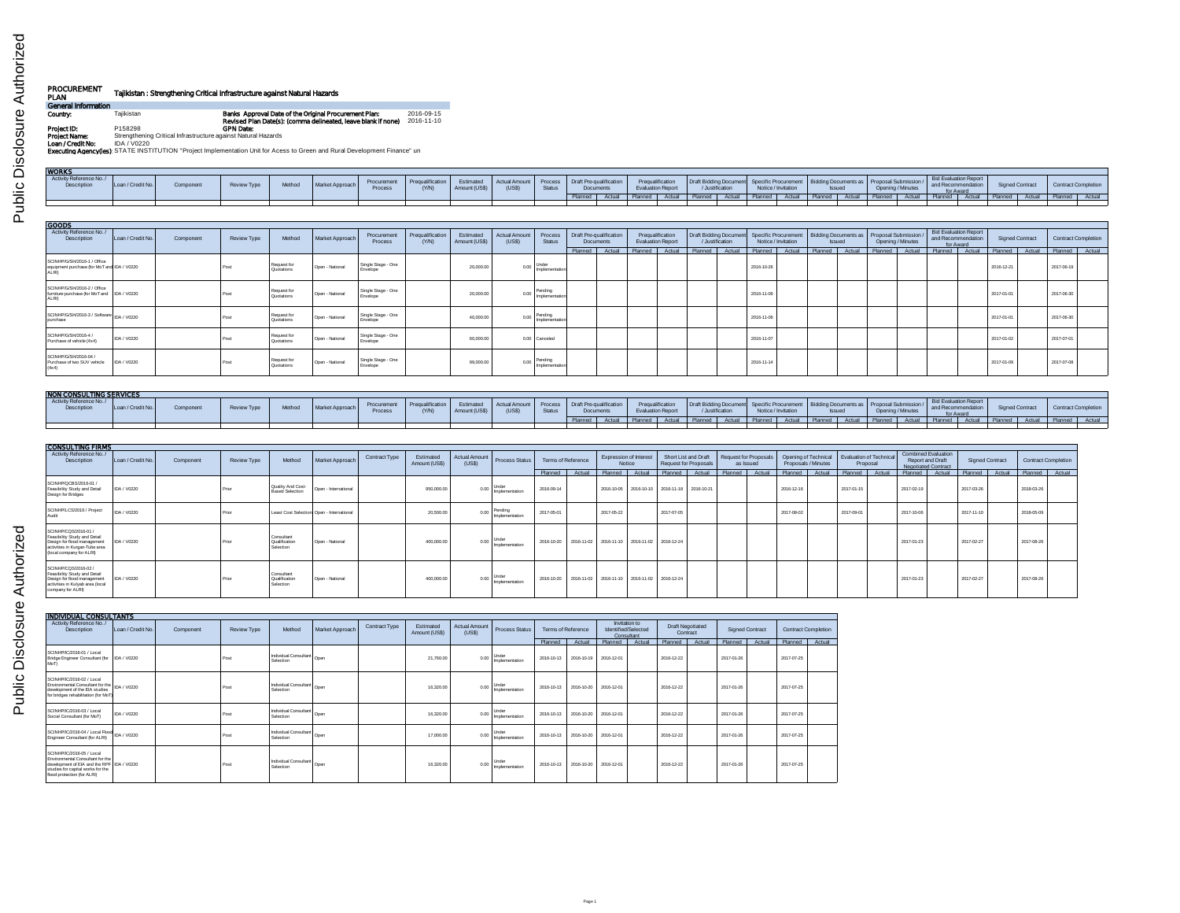| ř<br>į             |  |
|--------------------|--|
| ا<br>تار<br>۰<br>ĭ |  |

## **PROCUREMENT Tajikistan : Strengthening Critical Infrastructure against Natural Hazards<br>PLAN<br>Country: Tajikistan Tagikistan <b>Banks Approval Date of the Original Procurement Plan:** 2016-09-15<br>Country: Tajikistan Tajikistan

| Country:          | Taiikistan                                                    | Banks Approval Date of the Original Procurement Plan:                                                                      | 2016-09-15 |
|-------------------|---------------------------------------------------------------|----------------------------------------------------------------------------------------------------------------------------|------------|
|                   |                                                               | Revised Plan Date(s): (comma delineated, leave blank if none)                                                              | 2016-11-10 |
| Project ID:       | P158298                                                       | <b>GPN Date:</b>                                                                                                           |            |
| Project Name:     | Strengthening Critical Infrastructure against Natural Hazards |                                                                                                                            |            |
| Loan / Credit No: | IDA / V0220                                                   |                                                                                                                            |            |
|                   |                                                               | Executing Agencylies): STATE INSTITUTION "Project Implementation Unit for Acess to Green and Rural Development Finance" un |            |
|                   |                                                               |                                                                                                                            |            |

| <b>WORKS</b>                           |                   |           |             |        |                 |                                                                                                                                                                                                                               |  |  |  |  |  |  |  |                                                                                                                                                       |                 |                     |  |
|----------------------------------------|-------------------|-----------|-------------|--------|-----------------|-------------------------------------------------------------------------------------------------------------------------------------------------------------------------------------------------------------------------------|--|--|--|--|--|--|--|-------------------------------------------------------------------------------------------------------------------------------------------------------|-----------------|---------------------|--|
| Activity Reference No./<br>Description | Loan / Credit No. | Component | Review Type | Method | Market Approach | Procurement Prequalification Estimated Actual Amount Process Draft Pre-qualification Prequalification Draft Bidding Document Bidding Documents Broommers Books Proposal Submission Bidding Documents (YN) Amount (USS) Status |  |  |  |  |  |  |  | and Recommendation                                                                                                                                    | Signed Contract | Contract Completion |  |
|                                        |                   |           |             |        |                 |                                                                                                                                                                                                                               |  |  |  |  |  |  |  | Planned Actual Planned Actual Planned Actual Planned Actual Planned Actual Planned Actual Planned Actual Planned Actual Planned Actual Planned Actual |                 |                     |  |
|                                        |                   |           |             |        |                 |                                                                                                                                                                                                                               |  |  |  |  |  |  |  |                                                                                                                                                       |                 |                     |  |
|                                        |                   |           |             |        |                 |                                                                                                                                                                                                                               |  |  |  |  |  |  |  |                                                                                                                                                       |                 |                     |  |
|                                        |                   |           |             |        |                 |                                                                                                                                                                                                                               |  |  |  |  |  |  |  |                                                                                                                                                       |                 |                     |  |

| GOODS                                                                                 |                   |           |                    |                           |                 |                                |                           |                            |                               |                          |                                             |        |                                              |        |                                                                                                         |        |                     |        |               |        |                   |        |                                                                 |        |                        |        |                            |        |
|---------------------------------------------------------------------------------------|-------------------|-----------|--------------------|---------------------------|-----------------|--------------------------------|---------------------------|----------------------------|-------------------------------|--------------------------|---------------------------------------------|--------|----------------------------------------------|--------|---------------------------------------------------------------------------------------------------------|--------|---------------------|--------|---------------|--------|-------------------|--------|-----------------------------------------------------------------|--------|------------------------|--------|----------------------------|--------|
| Activity Reference No./<br>Description                                                | Loan / Credit No. | Component | <b>Review Type</b> | Method                    | Market Approach | Procurement<br>Process         | Prequalification<br>(Y/N) | Estimated<br>Amount (US\$) | <b>Actual Amount</b><br>(USS) | Process<br>Status        | Draft Pre-qualification<br><b>Documents</b> |        | Pregualification<br><b>Evaluation Report</b> |        | Draft Bidding Document Specific Procurement Bidding Documents as Proposal Submission<br>/ Justification |        | Notice / Invitation |        | <b>Issued</b> |        | Opening / Minutes |        | <b>Bid Evaluation Report</b><br>and Recommendation<br>for Award |        | <b>Signed Contract</b> |        | <b>Contract Completion</b> |        |
|                                                                                       |                   |           |                    |                           |                 |                                |                           |                            |                               |                          | Planned                                     | Actual | Planned                                      | Actual | Planned                                                                                                 | Actual | Planned             | Actual | Planned       | Actual | Planned           | Actual | Planned                                                         | Actual | Planned                | Actual | Planned                    | Actual |
| SCINHP/G/SH/2016-1 / Office<br>equipment purchase (for MoT and IDA / V0220<br>AI RIV  |                   |           | <b>Post</b>        | Request for<br>Quotations | Open - National | Single Stage - One<br>Envelope |                           | 20,000.0                   | 0.00                          | Under<br>Implementation  |                                             |        |                                              |        |                                                                                                         |        | 2016-10-26          |        |               |        |                   |        |                                                                 |        | 2016-12-21             |        | 2017-06-19                 |        |
| SCINHP/G/SH/2016-2 / Office<br>furniture purchase (for MoT and   IDA / V0220<br>ALRI) |                   |           | Post               | Request for<br>Quotations | Open - National | Single Stage - One<br>Envelope |                           | 20,000.0                   | 0.0                           | Pending<br>Implementatio |                                             |        |                                              |        |                                                                                                         |        | 2016-11-06          |        |               |        |                   |        |                                                                 |        | 2017-01-01             |        | 2017-06-30                 |        |
| SCINHP/G/SH/2016-3 / Software   IDA / V0220<br>purchase                               |                   |           | Post               | Request for<br>Quotations | Open - National | Single Stage - One<br>Envelope |                           | 40,000.0                   | 0.00                          | Pending<br>Implementatio |                                             |        |                                              |        |                                                                                                         |        | 2016-11-06          |        |               |        |                   |        |                                                                 |        | 2017-01-01             |        | 2017-06-30                 |        |
| SCINHP/G/SH/2016-4 /<br>Purchase of vehicle (4x4)                                     | DA / V0220        |           | Post               | Request for<br>Quotations | Open - National | Single Stage - One<br>Envelope |                           | 60,000.0                   |                               | 0.00 Canceled            |                                             |        |                                              |        |                                                                                                         |        | 2016-11-07          |        |               |        |                   |        |                                                                 |        | 2017-01-02             |        | 2017-07-01                 |        |
| SCINHP/G/SH/2016-04 /<br>Purchase of two SUV vehicle<br>(4x4)                         | DA / V0220        |           | Post               | Request for<br>Quotations | Open - National | Single Stage - One<br>Envelope |                           | 99,000.0                   | 0.00                          | Pending<br>Implementatio |                                             |        |                                              |        |                                                                                                         |        | 2016-11-14          |        |               |        |                   |        |                                                                 |        | 2017-01-09             |        | 2017-07-08                 |        |

| <b>NON CONSULTING SERVICES</b>         |                   |           |             |        |                 |                               |                         |               |                                                                  |        |          |  |                          |                 |                                                                                                                                        |        |                                                                     |         |                                                    |                 |        |                            |
|----------------------------------------|-------------------|-----------|-------------|--------|-----------------|-------------------------------|-------------------------|---------------|------------------------------------------------------------------|--------|----------|--|--------------------------|-----------------|----------------------------------------------------------------------------------------------------------------------------------------|--------|---------------------------------------------------------------------|---------|----------------------------------------------------|-----------------|--------|----------------------------|
| Activity Reference No./<br>Description | Loan / Credit No. | Component | Review Type | Method | Market Approach | Procurement<br><b>Process</b> | Pregualification<br>N/N | Amount (US\$) | Estimated Actual Amount Process Draft Pre-qualification<br>(USS) | Status | Document |  | <b>Evaluation Report</b> | /.lustification | Prequalification   Draft Bidding Document   Specific Procurement   Bidding Documents as   Proposal Submission /<br>Notice / Invitation |        | <b>Issued</b>                                                       | Opening | <b>Bid Evaluation Report</b><br>and Recommendation | Signed Contract |        | <b>Contract Completion</b> |
|                                        |                   |           |             |        |                 |                               |                         |               |                                                                  |        | Planned  |  | ed Actual Planned Actual | Planned         | Actual Planned                                                                                                                         | Actual | al Planned   Actual   Planned   Actual   Planned   Actual   Planned |         |                                                    |                 | Actual | Planned Actual             |
|                                        |                   |           |             |        |                 |                               |                         |               |                                                                  |        |          |  |                          |                 |                                                                                                                                        |        |                                                                     |         |                                                    |                 |        |                            |

| <b>CONSULTING FIRMS</b>                                                                                                                             |                   |           |             |                                             |                                           |               |                            |                         |                                |                    |        |                                                   |                                             |                                               |                       |           |                     |                                                          |                                                                       |        |                  |                            |  |
|-----------------------------------------------------------------------------------------------------------------------------------------------------|-------------------|-----------|-------------|---------------------------------------------|-------------------------------------------|---------------|----------------------------|-------------------------|--------------------------------|--------------------|--------|---------------------------------------------------|---------------------------------------------|-----------------------------------------------|-----------------------|-----------|---------------------|----------------------------------------------------------|-----------------------------------------------------------------------|--------|------------------|----------------------------|--|
| Activity Reference No./<br>Description                                                                                                              | Loan / Credit No. | Component | Review Type | Method                                      | Market Approach                           | Contract Type | Estimated<br>Amount (US\$) | Actual Amount<br>(US\$) | Process Status                 | Terms of Reference |        | Expression of Interest<br>Notice                  |                                             | Short List and Draft<br>Request for Proposals | Request for Proposals | as Issued | Proposals / Minutes | Opening of Technical Evaluation of Technical<br>Proposal | <b>Combined Evaluation</b><br>Report and Draft<br>Negotiated Contract |        | Signed Contract  | <b>Contract Completion</b> |  |
|                                                                                                                                                     |                   |           |             |                                             |                                           |               |                            |                         |                                | Planned            | Actual | Planned Actual                                    |                                             | Planned Actual                                | Planned   Actual      |           | Planned Actual      | Planned Actual                                           | Planned I                                                             | Actual | Planned   Actual | Planned Actual             |  |
| SCINHP/QCBS/2016-01 /<br>Feasibility Study and Detail<br>Design for Bridges                                                                         | IDA / V0220       |           | Prior       | Quality And Cost-<br><b>Based Selection</b> | Open - International                      |               | 950,000.00                 |                         | <b>Under</b><br>Implementation | 2016-09-14         |        |                                                   | 2016-10-05 2016-10-10 2016-11-18 2016-10-21 |                                               |                       |           | 2016-12-16          | 2017-01-15                                               | 2017-02-19                                                            |        | 2017-03-26       | 2018-03-26                 |  |
| SCINHP/LCS/2016 / Project<br>Audit                                                                                                                  | IDA / V0220       |           | Prior       |                                             | Least Cost Selection Open - International |               | 20,500.00                  | 0.00                    | Pending<br>Implementation      | 2017-05-01         |        | 2017-05-22                                        | 2017-07-06                                  |                                               |                       |           | 2017-08-02          | 2017-09-01                                               | 2017-10-06                                                            |        | 2017-11-10       | 2018-05-09                 |  |
| SCINHP/CQS/2016-01 /<br>Feasibility Study and Detail<br>Design for flood management<br>activities in Kurgan-Tube area<br>I (local company for ALRI) | IDA / V0220       |           | Prior       | Consultant<br>Qualification<br>Selection    | Open - National                           |               | 400,000.00                 | 0.00                    | <b>Under</b><br>Implementation | 2016-10-20         |        | 2016-11-02 2016-11-10 2016-11-02 2016-12-24       |                                             |                                               |                       |           |                     |                                                          | 2017-01-23                                                            |        | 2017-02-27       | 2017-08-26                 |  |
| SCINHP/CQS/2016-02 /<br>Feasibility Study and Detail<br>Design for flood management<br>activities in Kulyab area (local<br>company for ALRI)        | IDA / V0220       |           | Print       | Consultant<br>Qualification<br>Selection    | Open - National                           |               | 400,000.00                 | 0.00                    | Under<br>Implementation        | 2016-10-20         |        | 2016-11-02   2016-11-10   2016-11-02   2016-12-24 |                                             |                                               |                       |           |                     |                                                          | 2017-01-23                                                            |        | 2017-02-27       | 2017-08-26                 |  |

| NDIVIDUAL CONSULTANTS                                                                                                                                                           |                   |           |                    |                                    |                 |               |                            |                        |                                |                    |            |                                      |            |                                     |        |                        |        |                            |        |
|---------------------------------------------------------------------------------------------------------------------------------------------------------------------------------|-------------------|-----------|--------------------|------------------------------------|-----------------|---------------|----------------------------|------------------------|--------------------------------|--------------------|------------|--------------------------------------|------------|-------------------------------------|--------|------------------------|--------|----------------------------|--------|
| Activity Reference No./<br><b>Description</b>                                                                                                                                   | Loan / Credit No. | Component | <b>Review Type</b> | Method                             | Market Approach | Contract Type | Estimated<br>Amount (US\$) | Actual Amount<br>(USS) | <b>Process Status</b>          | Terms of Reference |            | Invitation to<br>Identified/Selected | Consultant | <b>Draft Negotiated</b><br>Contract |        | <b>Signed Contract</b> |        | <b>Contract Completion</b> |        |
|                                                                                                                                                                                 |                   |           |                    |                                    |                 |               |                            |                        |                                | Planned            | Actual     | Planned                              | Actual     | Planned                             | Actual | Planned                | Actual | Planned                    | Actual |
| SCINHP/IC/2016-01 / Local<br>Bridge Engineer Consultant (for   IDA / V0220<br>MoTI                                                                                              |                   |           | <b>Post</b>        | Individual Consultant<br>Selection | Open            |               | 21,760.00                  | 0.00                   | Under<br>Implementation        | 2016-10-13         | 2016-10-19 | 2016-12-01                           |            | 2016-12-22                          |        | 2017-01-26             |        | 2017-07-25                 |        |
| SCINHP/IC/2016-02 / Local<br>Environmental Consultant for the   IDA / V0220<br>development of the EIA studies<br>for bridges rehabilitation (for MoT)                           |                   |           | <b>Post</b>        | Individual Consultant<br>Selection | Open            |               | 16.320.00                  |                        | $0.00$ Under<br>Implementation | 2016-10-13         | 2016-10-20 | 2016-12-01                           |            | 2016-12-22                          |        | 2017-01-26             |        | 2017-07-25                 |        |
| SCINHP/IC/2016-03 / Local<br>Social Consultant flor MoTI                                                                                                                        | IDA / V0220       |           | Post               | Individual Consultant<br>Selection | Open            |               | 16.320.00                  | 0.00                   | Under<br>Implementation        | 2016-10-13         | 2016-10-20 | 2016-12-01                           |            | 2016-12-22                          |        | 2017-01-26             |        | 2017-07-25                 |        |
| SCINHP/IC/2016-04 / Local Flood IDA / V0220<br>Engineer Consultant (for ALRI)                                                                                                   |                   |           | <b>Post</b>        | Individual Consultant<br>Selection | Open            |               | 17.000.00                  | 0.00                   | Under<br>Implementation        | 2016-10-13         | 2016-10-20 | 2016-12-01                           |            | 2016-12-22                          |        | 2017-01-26             |        | 2017-07-25                 |        |
| SCINHP/IC/2016-05 / Local<br>Environmental Consultant for the<br>development of EIA and the RPF IDA / V0220<br>studies for capital works for the<br>flood protection (for ALRI) |                   |           | <b>Post</b>        | Individual Consultant<br>Selection | Open            |               | 16.320.00                  | 0.00                   | <b>Under</b><br>Implementation | 2016-10-13         | 2016-10-20 | 2016-12-01                           |            | 2016-12-22                          |        | 2017-01-26             |        | 2017-07-25                 |        |